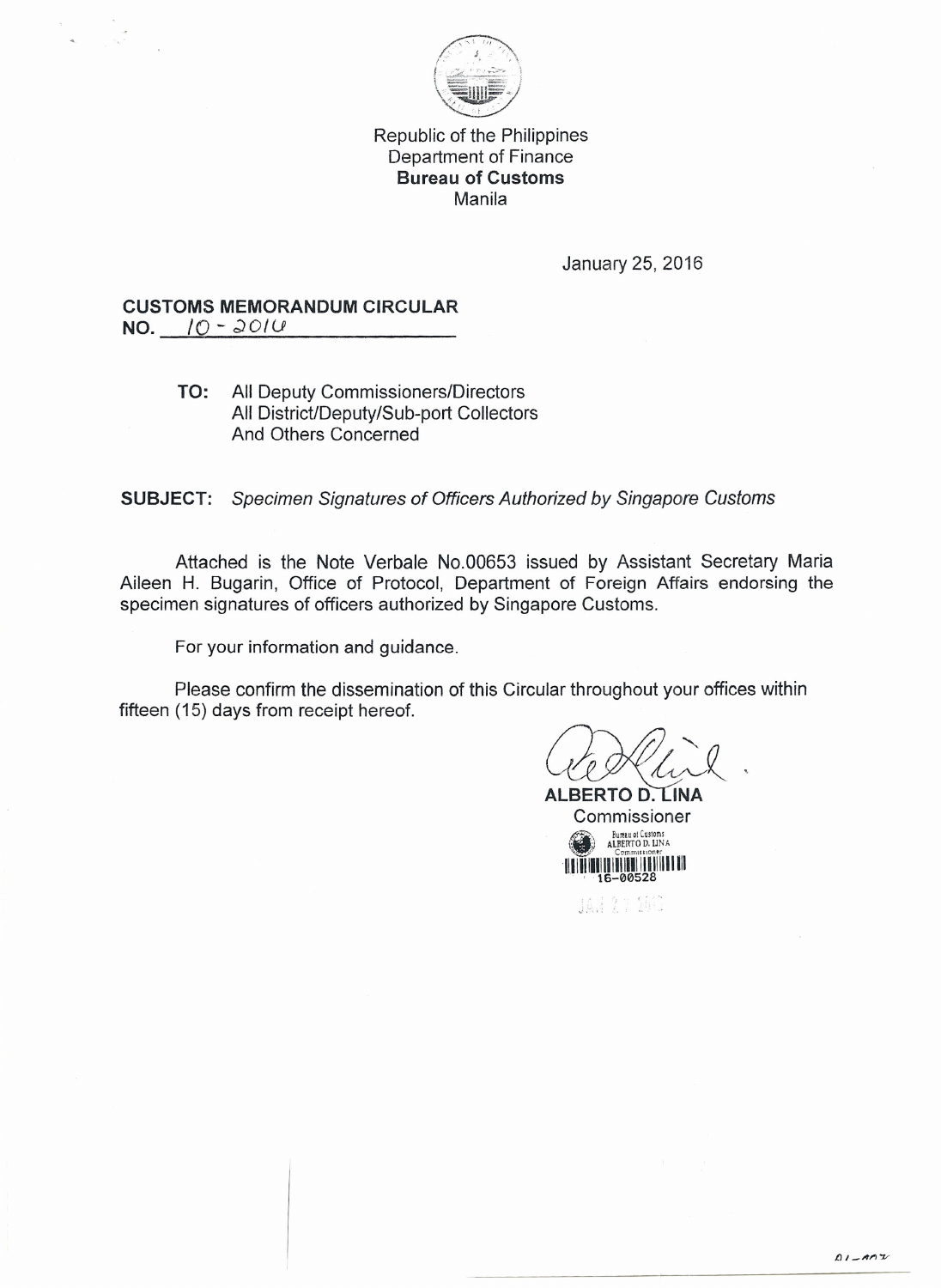

Republic of the Philippines Department of Finance **Bureau of Customs** Manila

January 25, 2016

## **CUSTOMS MEMORANDUM CIRCULAR NO.** /0 - *;)OIU*

## **TO:** All Deputy Commissioners/Directors All District/Deputy/Sub-port Collectors And Others Concerned

**SUBJECT:** *Specimen Signatures of Officers Authorized by Singapore Customs*

Attached is the Note Verbale No.00653 issued by Assistant Secretary Maria Aileen H. Bugarin, Office of Protocol, Department of Foreign Affairs endorsing the specimen signatures of officers authorized by Singapore Customs.

For your information and guidance.

Please confirm the dissemination of this Circular throughout your offices within fifteen (15) days from receipt hereof.

 $\mu^{'}$ 

**ALBERTO D. INA** Commissioner •  $\sum_{\substack{\text{Burnau of Custions}\n\text{Commons}}$ 1111111111111111111111I1111I111 . , 16-00528

JAN 27 160